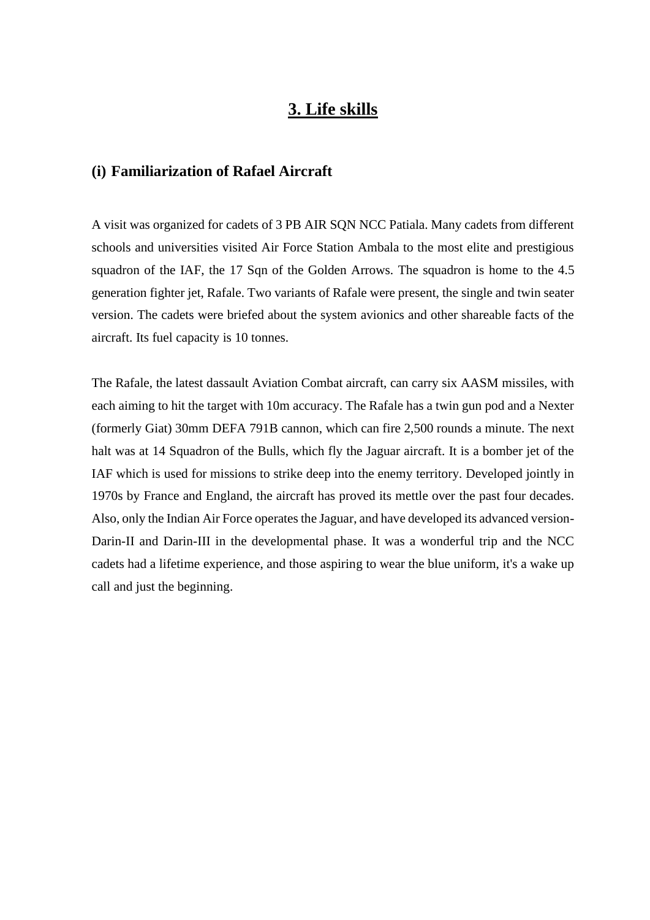### **3. Life skills**

#### **(i) Familiarization of Rafael Aircraft**

A visit was organized for cadets of 3 PB AIR SQN NCC Patiala. Many cadets from different schools and universities visited Air Force Station Ambala to the most elite and prestigious squadron of the IAF, the 17 Sqn of the Golden Arrows. The squadron is home to the 4.5 generation fighter jet, Rafale. Two variants of Rafale were present, the single and twin seater version. The cadets were briefed about the system avionics and other shareable facts of the aircraft. Its fuel capacity is 10 tonnes.

The Rafale, the latest dassault Aviation Combat aircraft, can carry six AASM missiles, with each aiming to hit the target with 10m accuracy. The Rafale has a twin gun pod and a Nexter (formerly Giat) 30mm DEFA 791B cannon, which can fire 2,500 rounds a minute. The next halt was at 14 Squadron of the Bulls, which fly the Jaguar aircraft. It is a bomber jet of the IAF which is used for missions to strike deep into the enemy territory. Developed jointly in 1970s by France and England, the aircraft has proved its mettle over the past four decades. Also, only the Indian Air Force operates the Jaguar, and have developed its advanced version-Darin-II and Darin-III in the developmental phase. It was a wonderful trip and the NCC cadets had a lifetime experience, and those aspiring to wear the blue uniform, it's a wake up call and just the beginning.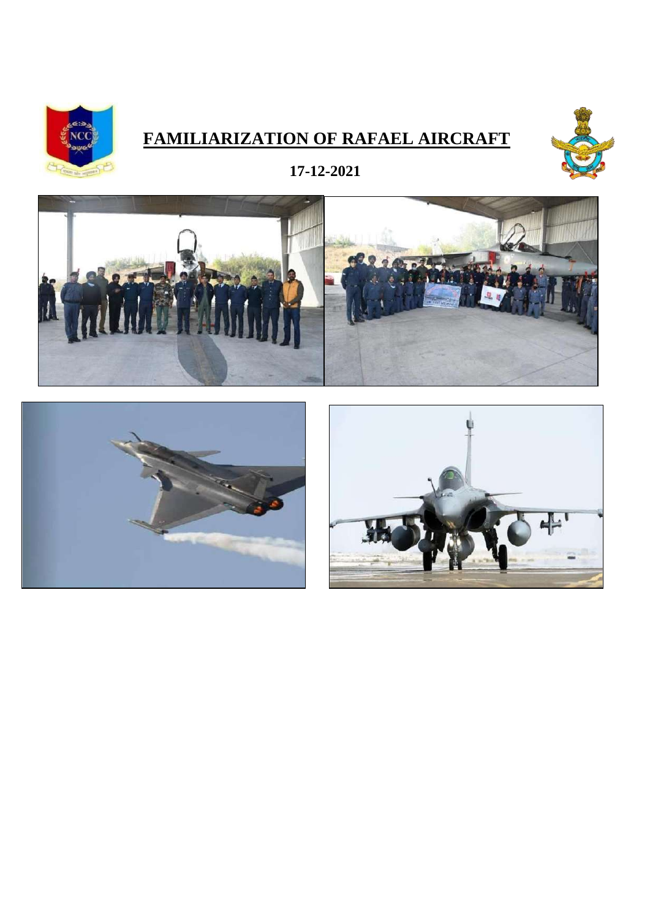

### **FAMILIARIZATION OF RAFAEL AIRCRAFT**



**17-12-2021**





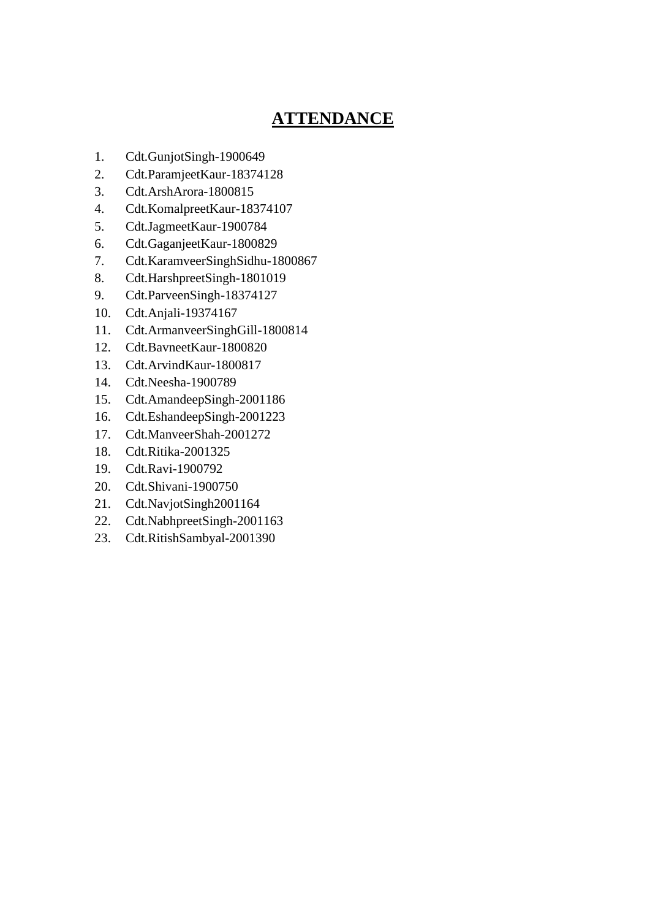- 1. Cdt.GunjotSingh-1900649
- 2. Cdt.ParamjeetKaur-18374128
- 3. Cdt.ArshArora-1800815
- 4. Cdt.KomalpreetKaur-18374107
- 5. Cdt.JagmeetKaur-1900784
- 6. Cdt.GaganjeetKaur-1800829
- 7. Cdt.KaramveerSinghSidhu-1800867
- 8. Cdt.HarshpreetSingh-1801019
- 9. Cdt.ParveenSingh-18374127
- 10. Cdt.Anjali-19374167
- 11. Cdt.ArmanveerSinghGill-1800814
- 12. Cdt.BavneetKaur-1800820
- 13. Cdt.ArvindKaur-1800817
- 14. Cdt.Neesha-1900789
- 15. Cdt.AmandeepSingh-2001186
- 16. Cdt.EshandeepSingh-2001223
- 17. Cdt.ManveerShah-2001272
- 18. Cdt.Ritika-2001325
- 19. Cdt.Ravi-1900792
- 20. Cdt.Shivani-1900750
- 21. Cdt.NavjotSingh2001164
- 22. Cdt.NabhpreetSingh-2001163
- 23. Cdt.RitishSambyal-2001390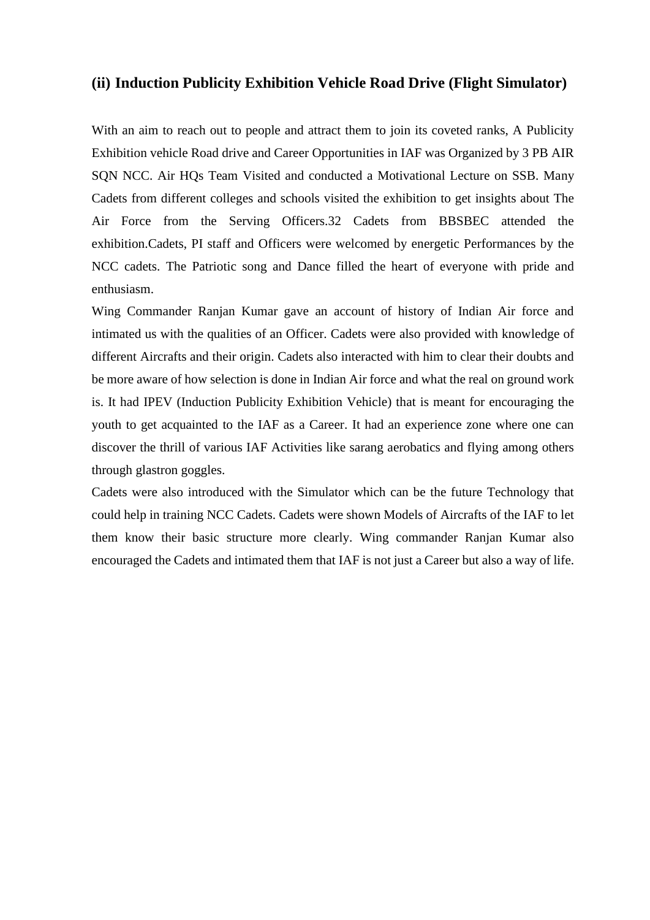#### **(ii) Induction Publicity Exhibition Vehicle Road Drive (Flight Simulator)**

With an aim to reach out to people and attract them to join its coveted ranks, A Publicity Exhibition vehicle Road drive and Career Opportunities in IAF was Organized by 3 PB AIR SQN NCC. Air HQs Team Visited and conducted a Motivational Lecture on SSB. Many Cadets from different colleges and schools visited the exhibition to get insights about The Air Force from the Serving Officers.32 Cadets from BBSBEC attended the exhibition.Cadets, PI staff and Officers were welcomed by energetic Performances by the NCC cadets. The Patriotic song and Dance filled the heart of everyone with pride and enthusiasm.

Wing Commander Ranjan Kumar gave an account of history of Indian Air force and intimated us with the qualities of an Officer. Cadets were also provided with knowledge of different Aircrafts and their origin. Cadets also interacted with him to clear their doubts and be more aware of how selection is done in Indian Air force and what the real on ground work is. It had IPEV (Induction Publicity Exhibition Vehicle) that is meant for encouraging the youth to get acquainted to the IAF as a Career. It had an experience zone where one can discover the thrill of various IAF Activities like sarang aerobatics and flying among others through glastron goggles.

Cadets were also introduced with the Simulator which can be the future Technology that could help in training NCC Cadets. Cadets were shown Models of Aircrafts of the IAF to let them know their basic structure more clearly. Wing commander Ranjan Kumar also encouraged the Cadets and intimated them that IAF is not just a Career but also a way of life.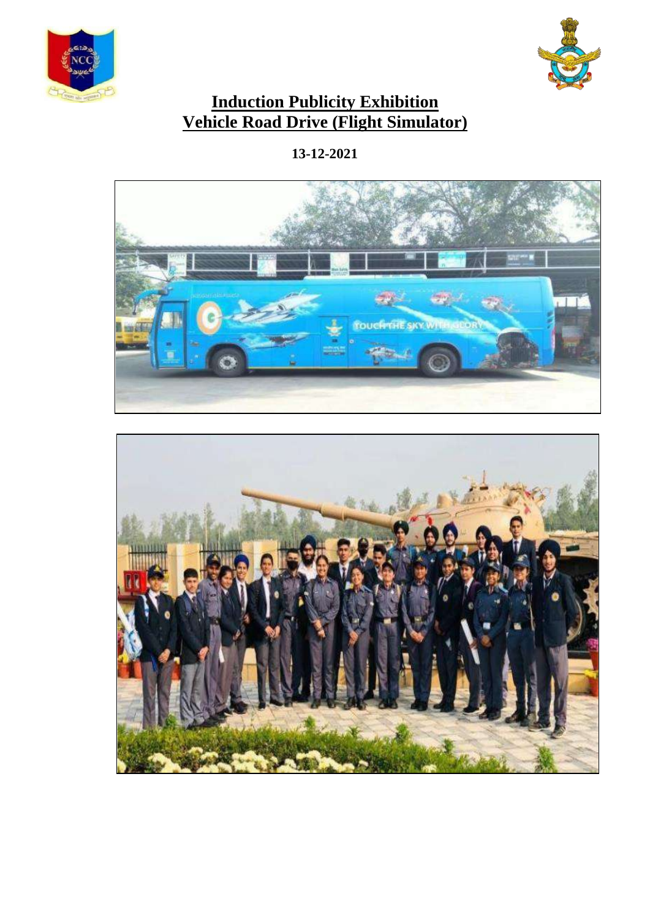



### **Induction Publicity Exhibition Vehicle Road Drive (Flight Simulator)**

**13-12-2021**



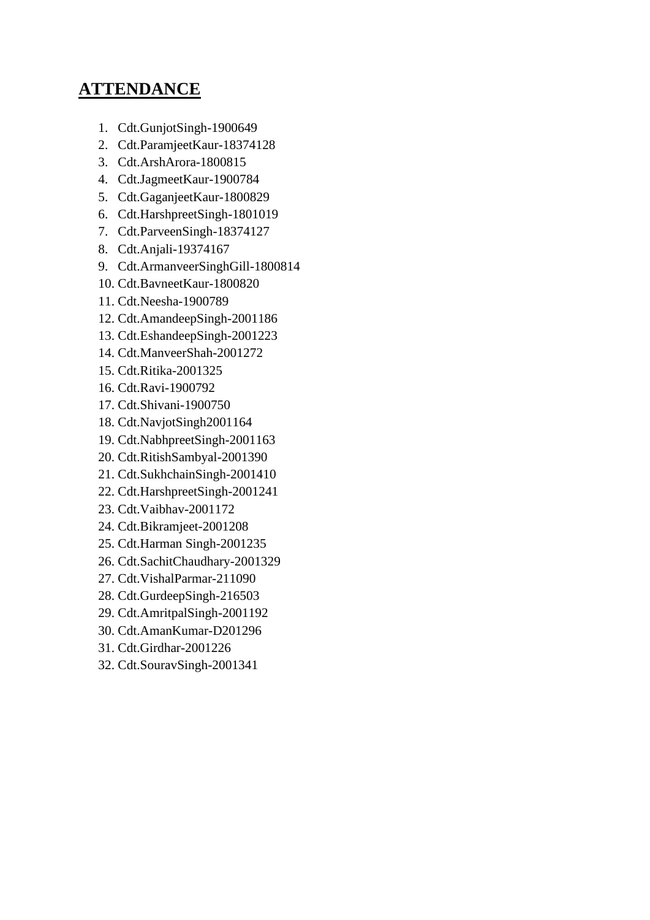- 1. Cdt.GunjotSingh-1900649
- 2. Cdt.ParamjeetKaur-18374128
- 3. Cdt.ArshArora-1800815
- 4. Cdt.JagmeetKaur-1900784
- 5. Cdt.GaganjeetKaur-1800829
- 6. Cdt.HarshpreetSingh-1801019
- 7. Cdt.ParveenSingh-18374127
- 8. Cdt.Anjali-19374167
- 9. Cdt.ArmanveerSinghGill-1800814
- 10. Cdt.BavneetKaur-1800820
- 11. Cdt.Neesha-1900789
- 12. Cdt.AmandeepSingh-2001186
- 13. Cdt.EshandeepSingh-2001223
- 14. Cdt.ManveerShah-2001272
- 15. Cdt.Ritika-2001325
- 16. Cdt.Ravi-1900792
- 17. Cdt.Shivani-1900750
- 18. Cdt.NavjotSingh2001164
- 19. Cdt.NabhpreetSingh-2001163
- 20. Cdt.RitishSambyal-2001390
- 21. Cdt.SukhchainSingh-2001410
- 22. Cdt.HarshpreetSingh-2001241
- 23. Cdt.Vaibhav-2001172
- 24. Cdt.Bikramjeet-2001208
- 25. Cdt.Harman Singh-2001235
- 26. Cdt.SachitChaudhary-2001329
- 27. Cdt.VishalParmar-211090
- 28. Cdt.GurdeepSingh-216503
- 29. Cdt.AmritpalSingh-2001192
- 30. Cdt.AmanKumar-D201296
- 31. Cdt.Girdhar-2001226
- 32. Cdt.SouravSingh-2001341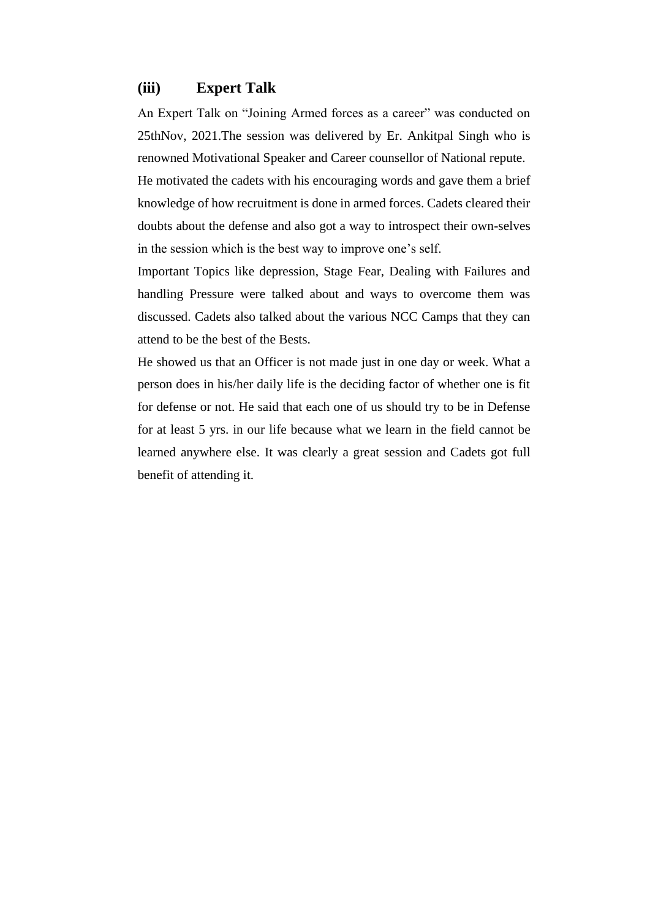#### **(iii) Expert Talk**

An Expert Talk on "Joining Armed forces as a career" was conducted on 25thNov, 2021.The session was delivered by Er. Ankitpal Singh who is renowned Motivational Speaker and Career counsellor of National repute.

He motivated the cadets with his encouraging words and gave them a brief knowledge of how recruitment is done in armed forces. Cadets cleared their doubts about the defense and also got a way to introspect their own-selves in the session which is the best way to improve one's self.

Important Topics like depression, Stage Fear, Dealing with Failures and handling Pressure were talked about and ways to overcome them was discussed. Cadets also talked about the various NCC Camps that they can attend to be the best of the Bests.

He showed us that an Officer is not made just in one day or week. What a person does in his/her daily life is the deciding factor of whether one is fit for defense or not. He said that each one of us should try to be in Defense for at least 5 yrs. in our life because what we learn in the field cannot be learned anywhere else. It was clearly a great session and Cadets got full benefit of attending it.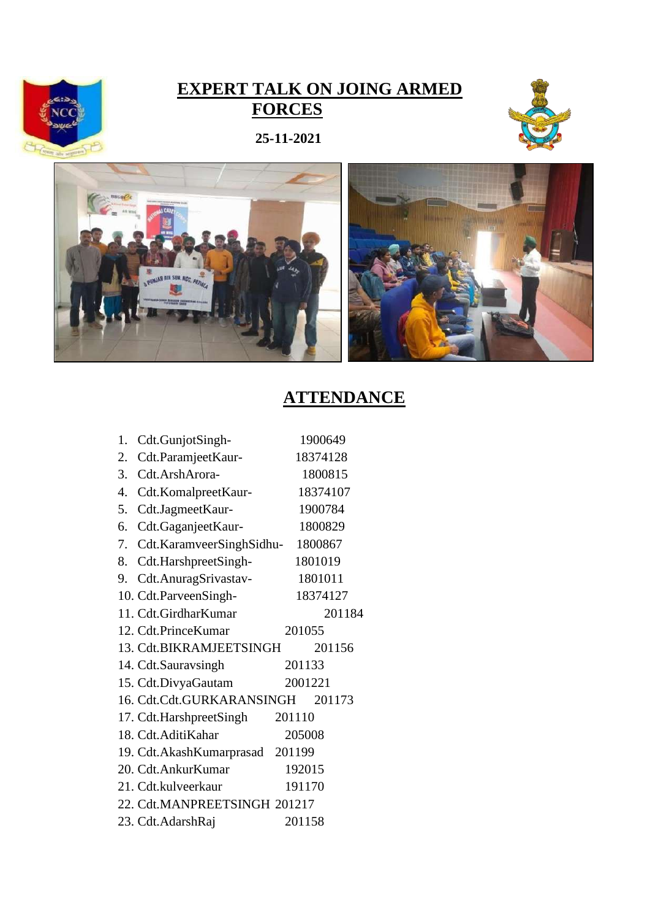

### **EXPERT TALK ON JOING ARMED FORCES**







| 1. | Cdt.GunjotSingh-             |        | 1900649  |  |
|----|------------------------------|--------|----------|--|
| 2. | Cdt.ParamjeetKaur-           |        | 18374128 |  |
| 3. | Cdt.ArshArora-               |        | 1800815  |  |
|    | 4. Cdt.KomalpreetKaur-       |        | 18374107 |  |
|    | 5. Cdt.JagmeetKaur-          |        | 1900784  |  |
| 6. | Cdt.GaganjeetKaur-           |        | 1800829  |  |
|    | 7. Cdt.KaramveerSinghSidhu-  |        | 1800867  |  |
|    | 8. Cdt.HarshpreetSingh-      |        | 1801019  |  |
|    | 9. Cdt.AnuragSrivastav-      |        | 1801011  |  |
|    | 10. Cdt.ParveenSingh-        |        | 18374127 |  |
|    | 11. Cdt.GirdharKumar         |        | 201184   |  |
|    | 12. Cdt.PrinceKumar          |        | 201055   |  |
|    | 13. Cdt.BIKRAMJEETSINGH      |        | 201156   |  |
|    | 14. Cdt.Sauravsingh          |        | 201133   |  |
|    | 15. Cdt.DivyaGautam          |        | 2001221  |  |
|    | 16. Cdt.Cdt.GURKARANSINGH    |        | 201173   |  |
|    | 17. Cdt.HarshpreetSingh      | 201110 |          |  |
|    | 18. Cdt. Aditi Kahar         |        | 205008   |  |
|    | 19. Cdt.AkashKumarprasad     | 201199 |          |  |
|    | 20. Cdt.AnkurKumar           |        | 192015   |  |
|    | 21. Cdt.kulveerkaur          |        | 191170   |  |
|    | 22. Cdt.MANPREETSINGH 201217 |        |          |  |
|    | 23. Cdt.AdarshRaj            |        | 201158   |  |
|    |                              |        |          |  |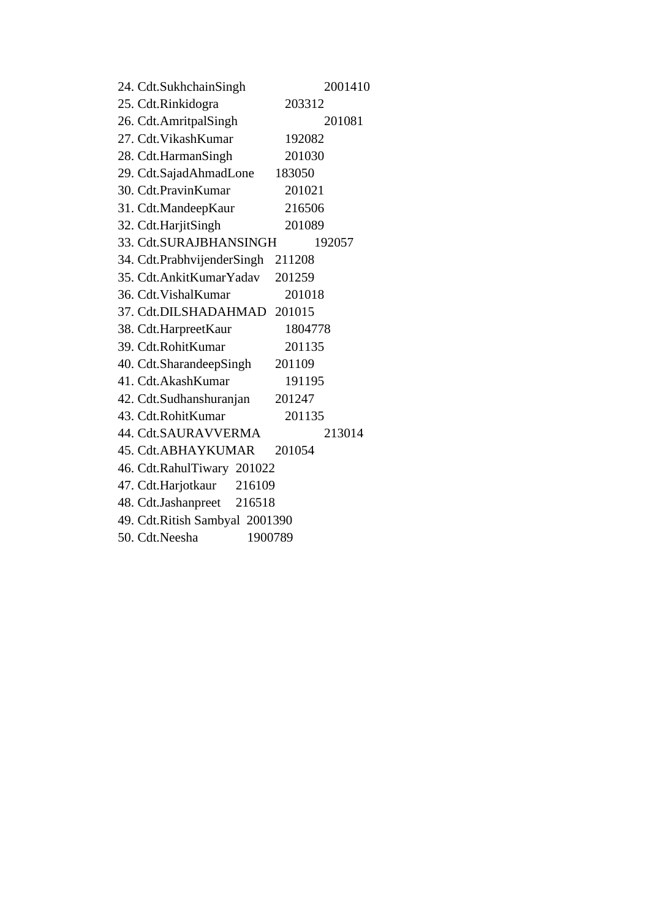| 24. Cdt.SukhchainSingh         | 2001410 |
|--------------------------------|---------|
| 25. Cdt.Rinkidogra             | 203312  |
| 26. Cdt.AmritpalSingh          | 201081  |
| 27. Cdt. Vikash Kumar          | 192082  |
| 28. Cdt.HarmanSingh            | 201030  |
| 29. Cdt.SajadAhmadLone         | 183050  |
| 30. Cdt.PravinKumar            | 201021  |
| 31. Cdt.MandeepKaur            | 216506  |
| 32. Cdt.HarjitSingh            | 201089  |
| 33. Cdt.SURAJBHANSINGH         | 192057  |
| 34. Cdt.PrabhvijenderSingh     | 211208  |
| 35. Cdt. Ankit Kumar Yadav     | 201259  |
| 36. Cdt. Vishal Kumar          | 201018  |
| 37. Cdt.DILSHADAHMAD           | 201015  |
| 38. Cdt.HarpreetKaur           | 1804778 |
| 39. Cdt.RohitKumar             | 201135  |
| 40. Cdt.SharandeepSingh        | 201109  |
| 41. Cdt. Akash Kumar           | 191195  |
| 42. Cdt.Sudhanshuranjan        | 201247  |
| 43. Cdt.RohitKumar             | 201135  |
| 44. Cdt.SAURAVVERMA            | 213014  |
| 45. Cdt.ABHAYKUMAR             | 201054  |
| 46. Cdt.RahulTiwary 201022     |         |
| 47. Cdt.Harjotkaur 216109      |         |
| 48. Cdt.Jashanpreet 216518     |         |
| 49. Cdt.Ritish Sambyal 2001390 |         |
| 50. Cdt.Neesha                 | 1900789 |
|                                |         |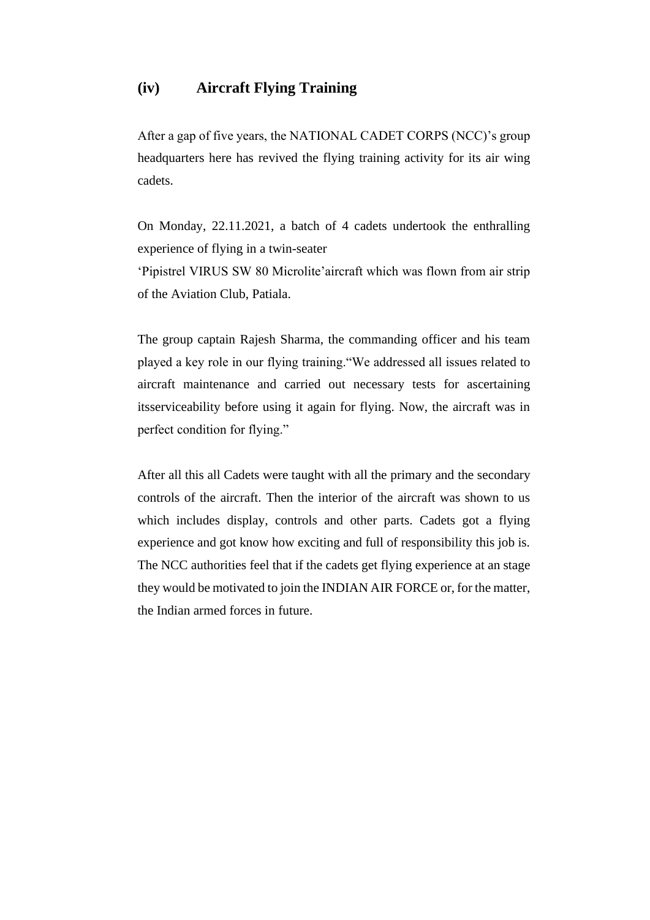#### **(iv) Aircraft Flying Training**

After a gap of five years, the NATIONAL CADET CORPS (NCC)'s group headquarters here has revived the flying training activity for its air wing cadets.

On Monday, 22.11.2021, a batch of 4 cadets undertook the enthralling experience of flying in a twin-seater 'Pipistrel VIRUS SW 80 Microlite'aircraft which was flown from air strip of the Aviation Club, Patiala.

The group captain Rajesh Sharma, the commanding officer and his team played a key role in our flying training."We addressed all issues related to aircraft maintenance and carried out necessary tests for ascertaining itsserviceability before using it again for flying. Now, the aircraft was in perfect condition for flying."

After all this all Cadets were taught with all the primary and the secondary controls of the aircraft. Then the interior of the aircraft was shown to us which includes display, controls and other parts. Cadets got a flying experience and got know how exciting and full of responsibility this job is. The NCC authorities feel that if the cadets get flying experience at an stage they would be motivated to join the INDIAN AIR FORCE or, for the matter, the Indian armed forces in future.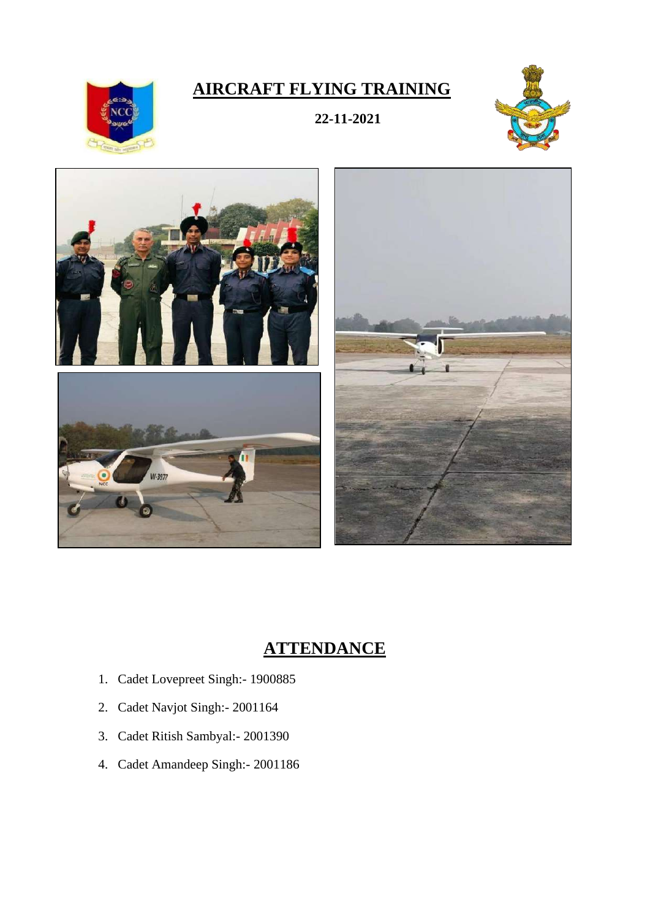## **AIRCRAFT FLYING TRAINING**

**22-11-2021**





- 1. Cadet Lovepreet Singh:- 1900885
- 2. Cadet Navjot Singh:- 2001164
- 3. Cadet Ritish Sambyal:- 2001390
- 4. Cadet Amandeep Singh:- 2001186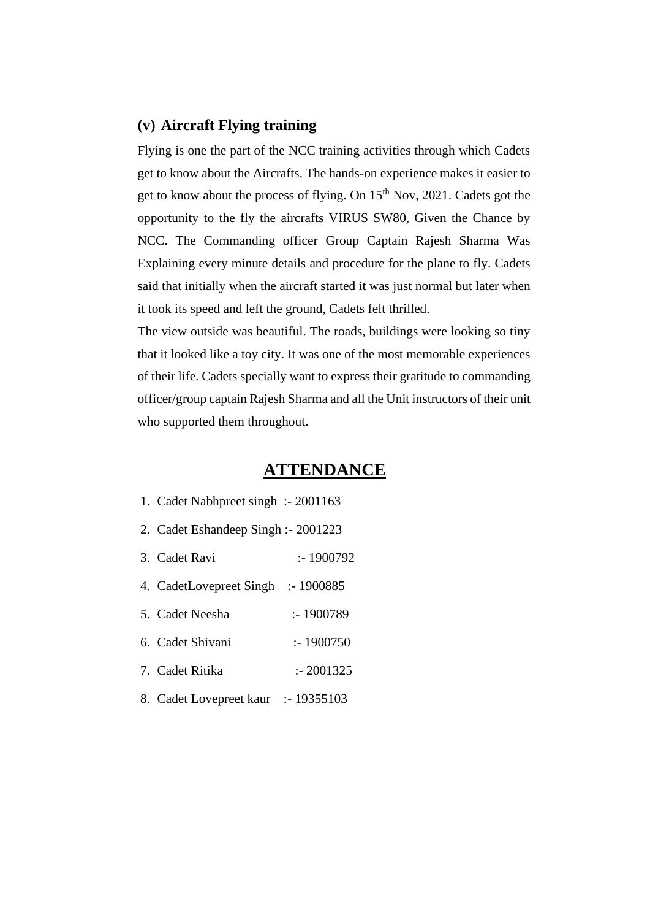#### **(v) Aircraft Flying training**

Flying is one the part of the NCC training activities through which Cadets get to know about the Aircrafts. The hands-on experience makes it easier to get to know about the process of flying. On  $15<sup>th</sup>$  Nov, 2021. Cadets got the opportunity to the fly the aircrafts VIRUS SW80, Given the Chance by NCC. The Commanding officer Group Captain Rajesh Sharma Was Explaining every minute details and procedure for the plane to fly. Cadets said that initially when the aircraft started it was just normal but later when it took its speed and left the ground, Cadets felt thrilled.

The view outside was beautiful. The roads, buildings were looking so tiny that it looked like a toy city. It was one of the most memorable experiences of their life. Cadets specially want to express their gratitude to commanding officer/group captain Rajesh Sharma and all the Unit instructors of their unit who supported them throughout.

- 1. Cadet Nabhpreet singh :- 2001163
- 2. Cadet Eshandeep Singh :- 2001223
- 3. Cadet Ravi :- 1900792
- 4. CadetLovepreet Singh :- 1900885
- 5. Cadet Neesha :- 1900789
- 6. Cadet Shivani :- 1900750
- 7. Cadet Ritika :- 2001325
- 8. Cadet Lovepreet kaur :- 19355103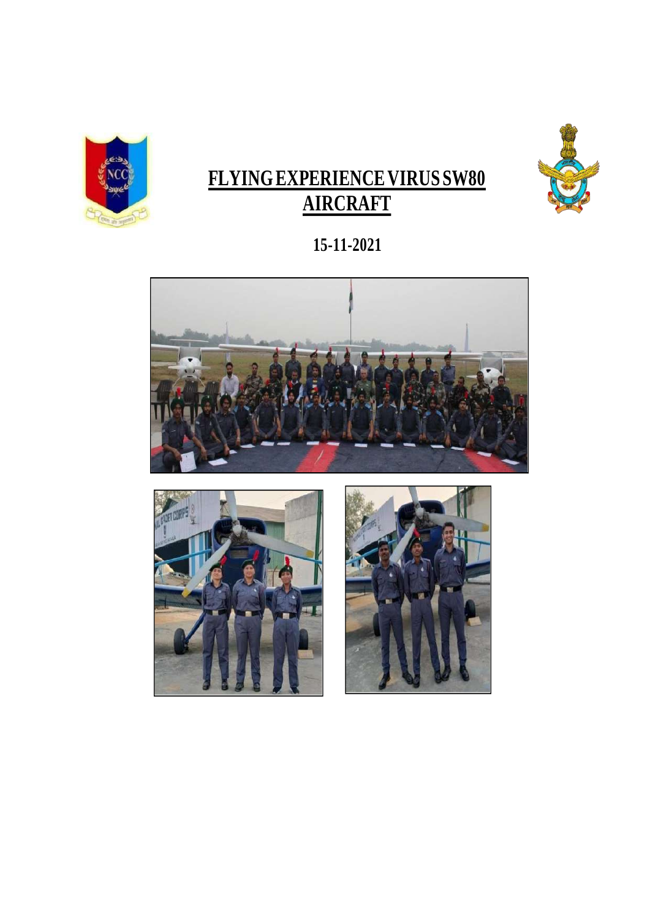

# **FLYING EXPERIENCE VIRUS SW80 AIRCRAFT**



# **1 5-1 1-2021**





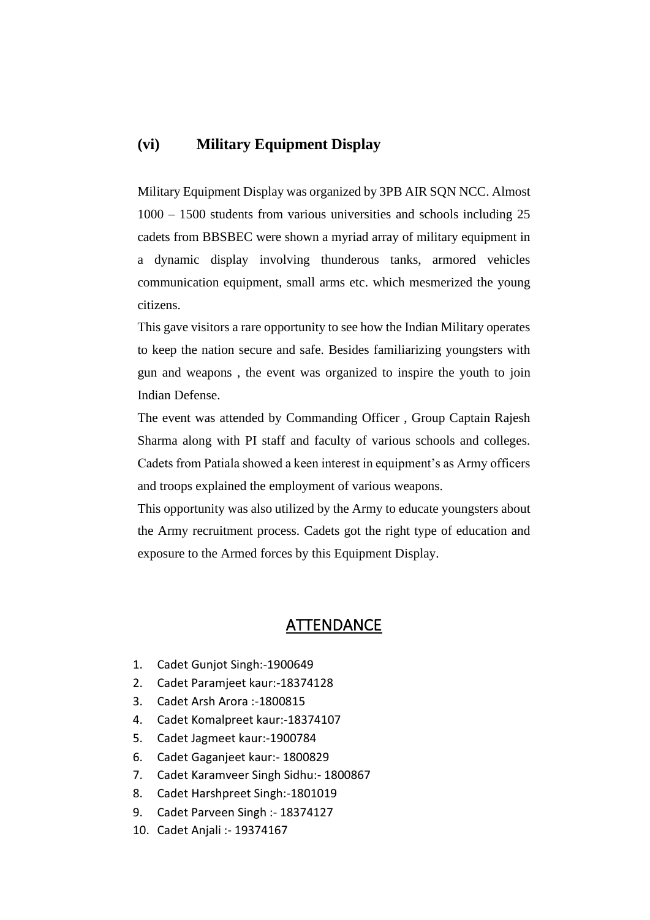#### **(vi) Military Equipment Display**

Military Equipment Display was organized by 3PB AIR SQN NCC. Almost 1000 – 1500 students from various universities and schools including 25 cadets from BBSBEC were shown a myriad array of military equipment in a dynamic display involving thunderous tanks, armored vehicles communication equipment, small arms etc. which mesmerized the young citizens.

This gave visitors a rare opportunity to see how the Indian Military operates to keep the nation secure and safe. Besides familiarizing youngsters with gun and weapons , the event was organized to inspire the youth to join Indian Defense.

The event was attended by Commanding Officer , Group Captain Rajesh Sharma along with PI staff and faculty of various schools and colleges. Cadets from Patiala showed a keen interest in equipment's as Army officers and troops explained the employment of various weapons.

This opportunity was also utilized by the Army to educate youngsters about the Army recruitment process. Cadets got the right type of education and exposure to the Armed forces by this Equipment Display.

- 1. Cadet Gunjot Singh:-1900649
- 2. Cadet Paramjeet kaur:-18374128
- 3. Cadet Arsh Arora :-1800815
- 4. Cadet Komalpreet kaur:-18374107
- 5. Cadet Jagmeet kaur:-1900784
- 6. Cadet Gaganjeet kaur:- 1800829
- 7. Cadet Karamveer Singh Sidhu:- 1800867
- 8. Cadet Harshpreet Singh:-1801019
- 9. Cadet Parveen Singh :- 18374127
- 10. Cadet Anjali :- 19374167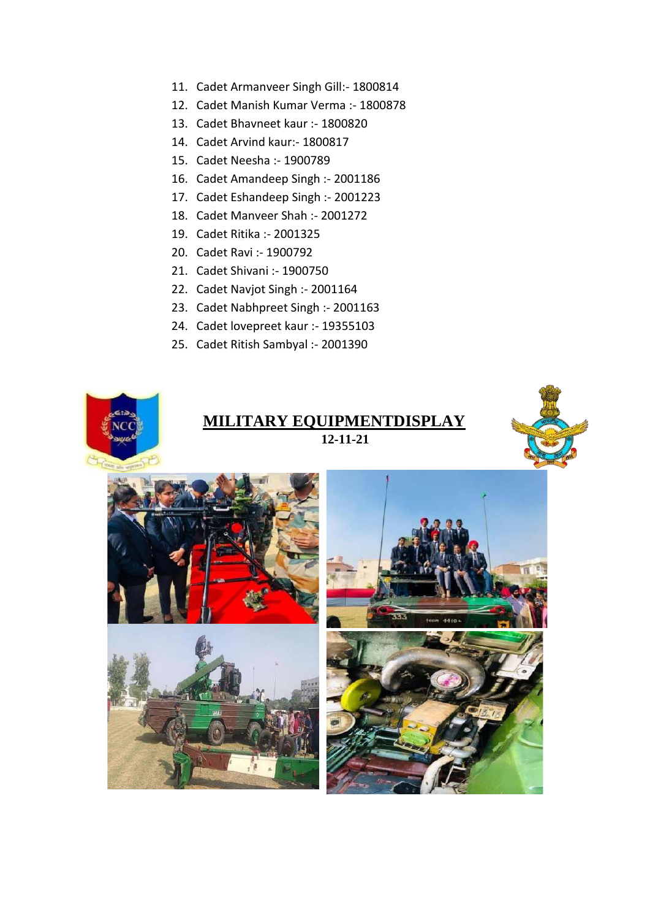- 11. Cadet Armanveer Singh Gill:- 1800814
- 12. Cadet Manish Kumar Verma :- 1800878
- 13. Cadet Bhavneet kaur :- 1800820
- 14. Cadet Arvind kaur:- 1800817
- 15. Cadet Neesha :- 1900789
- 16. Cadet Amandeep Singh :- 2001186
- 17. Cadet Eshandeep Singh :- 2001223
- 18. Cadet Manveer Shah :- 2001272
- 19. Cadet Ritika :- 2001325
- 20. Cadet Ravi :- 1900792
- 21. Cadet Shivani :- 1900750
- 22. Cadet Navjot Singh :- 2001164
- 23. Cadet Nabhpreet Singh :- 2001163
- 24. Cadet lovepreet kaur :- 19355103
- 25. Cadet Ritish Sambyal :- 2001390











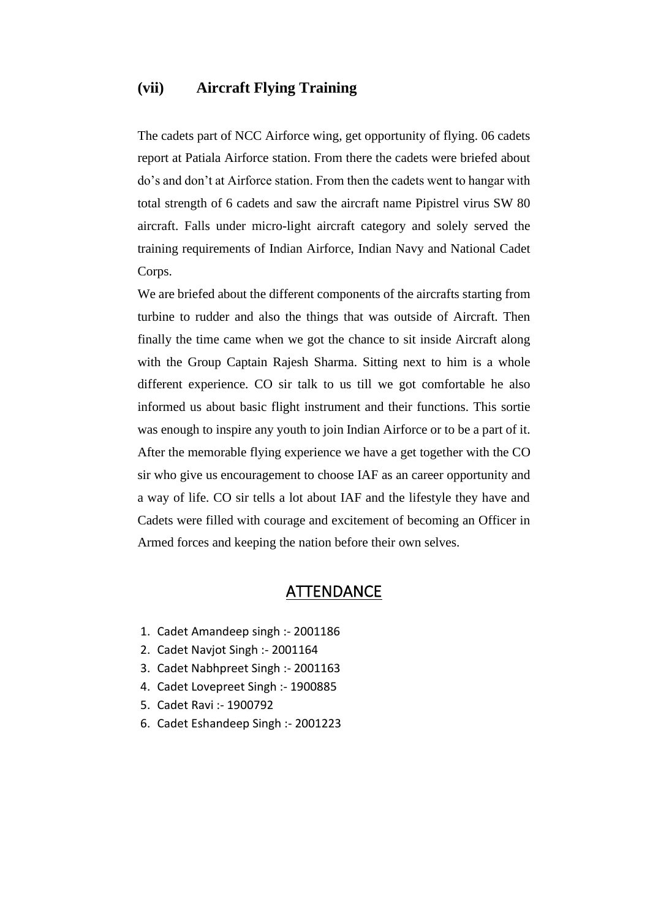#### **(vii) Aircraft Flying Training**

The cadets part of NCC Airforce wing, get opportunity of flying. 06 cadets report at Patiala Airforce station. From there the cadets were briefed about do's and don't at Airforce station. From then the cadets went to hangar with total strength of 6 cadets and saw the aircraft name Pipistrel virus SW 80 aircraft. Falls under micro-light aircraft category and solely served the training requirements of Indian Airforce, Indian Navy and National Cadet Corps.

We are briefed about the different components of the aircrafts starting from turbine to rudder and also the things that was outside of Aircraft. Then finally the time came when we got the chance to sit inside Aircraft along with the Group Captain Rajesh Sharma. Sitting next to him is a whole different experience. CO sir talk to us till we got comfortable he also informed us about basic flight instrument and their functions. This sortie was enough to inspire any youth to join Indian Airforce or to be a part of it. After the memorable flying experience we have a get together with the CO sir who give us encouragement to choose IAF as an career opportunity and a way of life. CO sir tells a lot about IAF and the lifestyle they have and Cadets were filled with courage and excitement of becoming an Officer in Armed forces and keeping the nation before their own selves.

- 1. Cadet Amandeep singh :- 2001186
- 2. Cadet Navjot Singh :- 2001164
- 3. Cadet Nabhpreet Singh :- 2001163
- 4. Cadet Lovepreet Singh :- 1900885
- 5. Cadet Ravi :- 1900792
- 6. Cadet Eshandeep Singh :- 2001223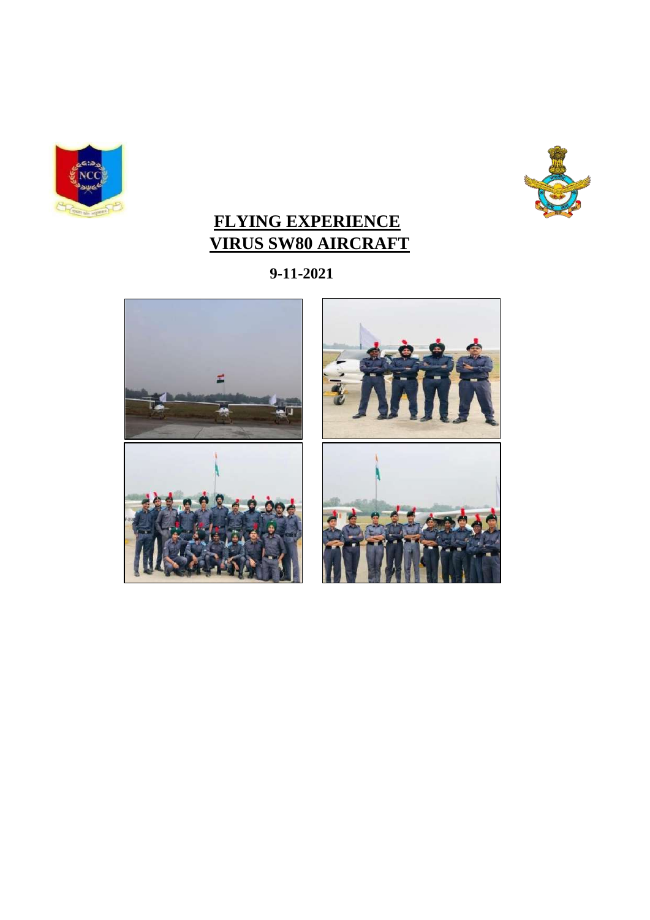



### **FLYING EXPERIENCE VIRUS SW80 AIRCRAFT**

**9-11-2021**



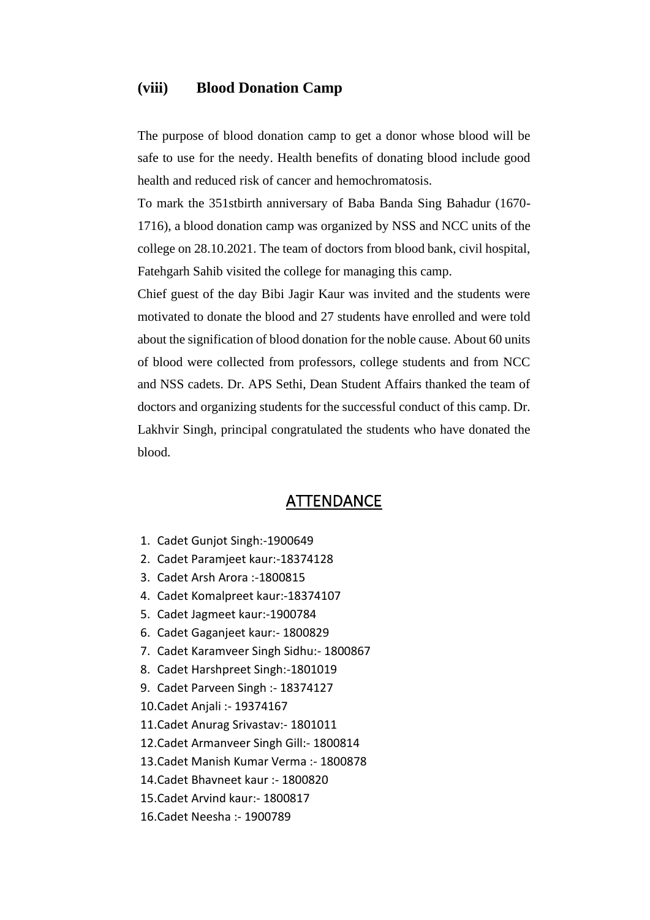#### **(viii) Blood Donation Camp**

The purpose of blood donation camp to get a donor whose blood will be safe to use for the needy. Health benefits of donating blood include good health and reduced risk of cancer and hemochromatosis.

To mark the 351stbirth anniversary of Baba Banda Sing Bahadur (1670- 1716), a blood donation camp was organized by NSS and NCC units of the college on 28.10.2021. The team of doctors from blood bank, civil hospital, Fatehgarh Sahib visited the college for managing this camp.

Chief guest of the day Bibi Jagir Kaur was invited and the students were motivated to donate the blood and 27 students have enrolled and were told about the signification of blood donation for the noble cause. About 60 units of blood were collected from professors, college students and from NCC and NSS cadets. Dr. APS Sethi, Dean Student Affairs thanked the team of doctors and organizing students for the successful conduct of this camp. Dr. Lakhvir Singh, principal congratulated the students who have donated the blood.

- 1. Cadet Gunjot Singh:-1900649
- 2. Cadet Paramjeet kaur:-18374128
- 3. Cadet Arsh Arora :-1800815
- 4. Cadet Komalpreet kaur:-18374107
- 5. Cadet Jagmeet kaur:-1900784
- 6. Cadet Gaganjeet kaur:- 1800829
- 7. Cadet Karamveer Singh Sidhu:- 1800867
- 8. Cadet Harshpreet Singh:-1801019
- 9. Cadet Parveen Singh :- 18374127
- 10.Cadet Anjali :- 19374167
- 11.Cadet Anurag Srivastav:- 1801011
- 12.Cadet Armanveer Singh Gill:- 1800814
- 13.Cadet Manish Kumar Verma :- 1800878
- 14.Cadet Bhavneet kaur :- 1800820
- 15.Cadet Arvind kaur:- 1800817
- 16.Cadet Neesha :- 1900789